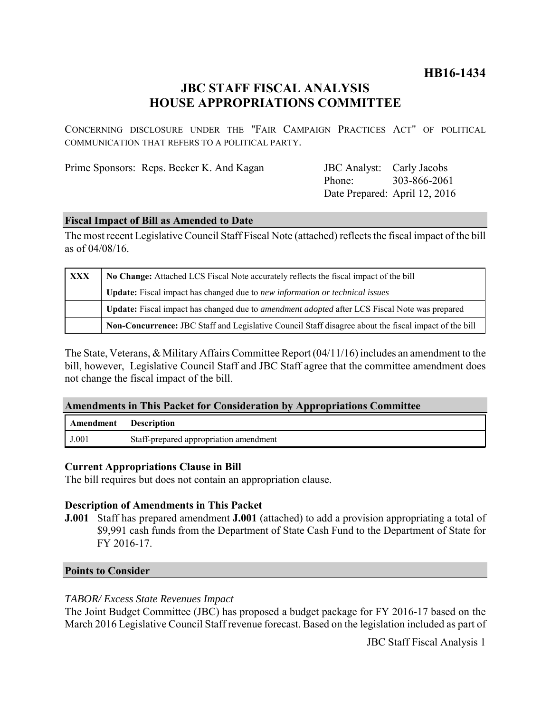**HB16-1434**

# **JBC STAFF FISCAL ANALYSIS HOUSE APPROPRIATIONS COMMITTEE**

CONCERNING DISCLOSURE UNDER THE "FAIR CAMPAIGN PRACTICES ACT" OF POLITICAL COMMUNICATION THAT REFERS TO A POLITICAL PARTY.

Prime Sponsors: Reps. Becker K. And Kagan

Phone: Date Prepared: April 12, 2016 JBC Analyst: Carly Jacobs 303-866-2061

#### **Fiscal Impact of Bill as Amended to Date**

The most recent Legislative Council Staff Fiscal Note (attached) reflects the fiscal impact of the bill as of 04/08/16.

| <b>XXX</b> | No Change: Attached LCS Fiscal Note accurately reflects the fiscal impact of the bill                 |
|------------|-------------------------------------------------------------------------------------------------------|
|            | Update: Fiscal impact has changed due to new information or technical issues                          |
|            | Update: Fiscal impact has changed due to <i>amendment adopted</i> after LCS Fiscal Note was prepared  |
|            | Non-Concurrence: JBC Staff and Legislative Council Staff disagree about the fiscal impact of the bill |

The State, Veterans, & Military Affairs Committee Report (04/11/16) includes an amendment to the bill, however, Legislative Council Staff and JBC Staff agree that the committee amendment does not change the fiscal impact of the bill.

## **Amendments in This Packet for Consideration by Appropriations Committee**

| Amendment | <b>Description</b>                     |
|-----------|----------------------------------------|
| J.001     | Staff-prepared appropriation amendment |

## **Current Appropriations Clause in Bill**

The bill requires but does not contain an appropriation clause.

## **Description of Amendments in This Packet**

**J.001** Staff has prepared amendment **J.001** (attached) to add a provision appropriating a total of \$9,991 cash funds from the Department of State Cash Fund to the Department of State for FY 2016-17.

#### **Points to Consider**

## *TABOR/ Excess State Revenues Impact*

The Joint Budget Committee (JBC) has proposed a budget package for FY 2016-17 based on the March 2016 Legislative Council Staff revenue forecast. Based on the legislation included as part of

JBC Staff Fiscal Analysis 1